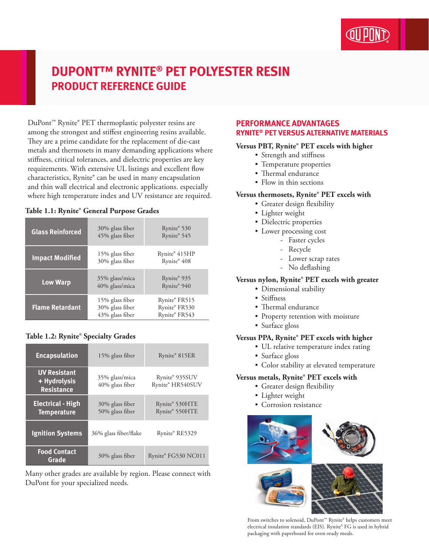

# **DUPONT™ RYNITE® PET POLYESTER RESIN PRODUCT REFERENCE GUIDE**

DuPont™ Rynite® PET thermoplastic polyester resins are among the strongest and stiffest engineering resins available. They are a prime candidate for the replacement of die-cast metals and thermosets in many demanding applications where stiffness, critical tolerances, and dielectric properties are key requirements. With extensive UL listings and excellent flow characteristics, Rynite® can be used in many encapsulation and thin wall electrical and electronic applications. especially where high temperature index and UV resistance are required.

#### **Table 1.1: Rynite® General Purpose Grades**

| <b>Glass Reinforced</b> | 30% glass fiber<br>45% glass fiber                    | Rynite® 530<br>Rynite® 545                      |
|-------------------------|-------------------------------------------------------|-------------------------------------------------|
| <b>Impact Modified</b>  | 15% glass fiber<br>30% glass fiber                    | Rynite® 415HP<br>Rynite® 408                    |
| <b>Low Warp</b>         | 35% glass/mica<br>40% glass/mica                      | Rynite® 935<br>Rynite® 940                      |
| <b>Flame Retardant</b>  | 15% glass fiber<br>30% glass fiber<br>43% glass fiber | Rynite® FR515<br>Rynite® FR530<br>Rynite® FR543 |

## **Table 1.2: Rynite® Specialty Grades**

| <b>Encapsulation</b>                                     | 15% glass fiber                    | Rynite® 815ER                      |
|----------------------------------------------------------|------------------------------------|------------------------------------|
| <b>UV Resistant</b><br>+ Hydrolysis<br><b>Resistance</b> | 35% glass/mica<br>40% glass fiber  | Rynite® 935SUV<br>Rynite® HR540SUV |
| <b>Electrical - High</b><br><b>Temperature</b>           | 30% glass fiber<br>50% glass fiber | Rynite® 530HTE<br>Rynite® 550HTE   |
| <b>Ignition Systems</b>                                  | 36% glass fiber/flake              | Rynite® RE5329                     |
| <b>Food Contact</b><br>Grade                             | 30% glass fiber                    | Rynite® FG530 NC011                |

Many other grades are available by region. Please connect with DuPont for your specialized needs.

## **PERFORMANCE ADVANTAGES RYNITE® PET VERSUS ALTERNATIVE MATERIALS**

#### **Versus PBT, Rynite® PET excels with higher**

- Strength and stiffness
- Temperature properties
- Thermal endurance
- Flow in thin sections

#### **Versus thermosets, Rynite® PET excels with**

- Greater design flexibility
- • Lighter weight
- Dielectric properties
- Lower processing cost
	- Faster cycles
		- Recycle
		- Lower scrap rates
		- No deflashing

## **Versus nylon, Rynite® PET excels with greater**

- Dimensional stability
- Stiffness
- Thermal endurance
- Property retention with moisture
- Surface gloss

## **Versus PPA, Rynite® PET excels with higher**

- • UL relative temperature index rating
- Surface gloss
- • Color stability at elevated temperature

#### **Versus metals, Rynite® PET excels with**

- Greater design flexibility
- • Lighter weight
- Corrosion resistance



From switches to solenoid, DuPont™ Rynite® helps customers meet electrical insulation standards (EIS). Rynite® FG is used in hybrid packaging with paperboard for oven-ready meals.